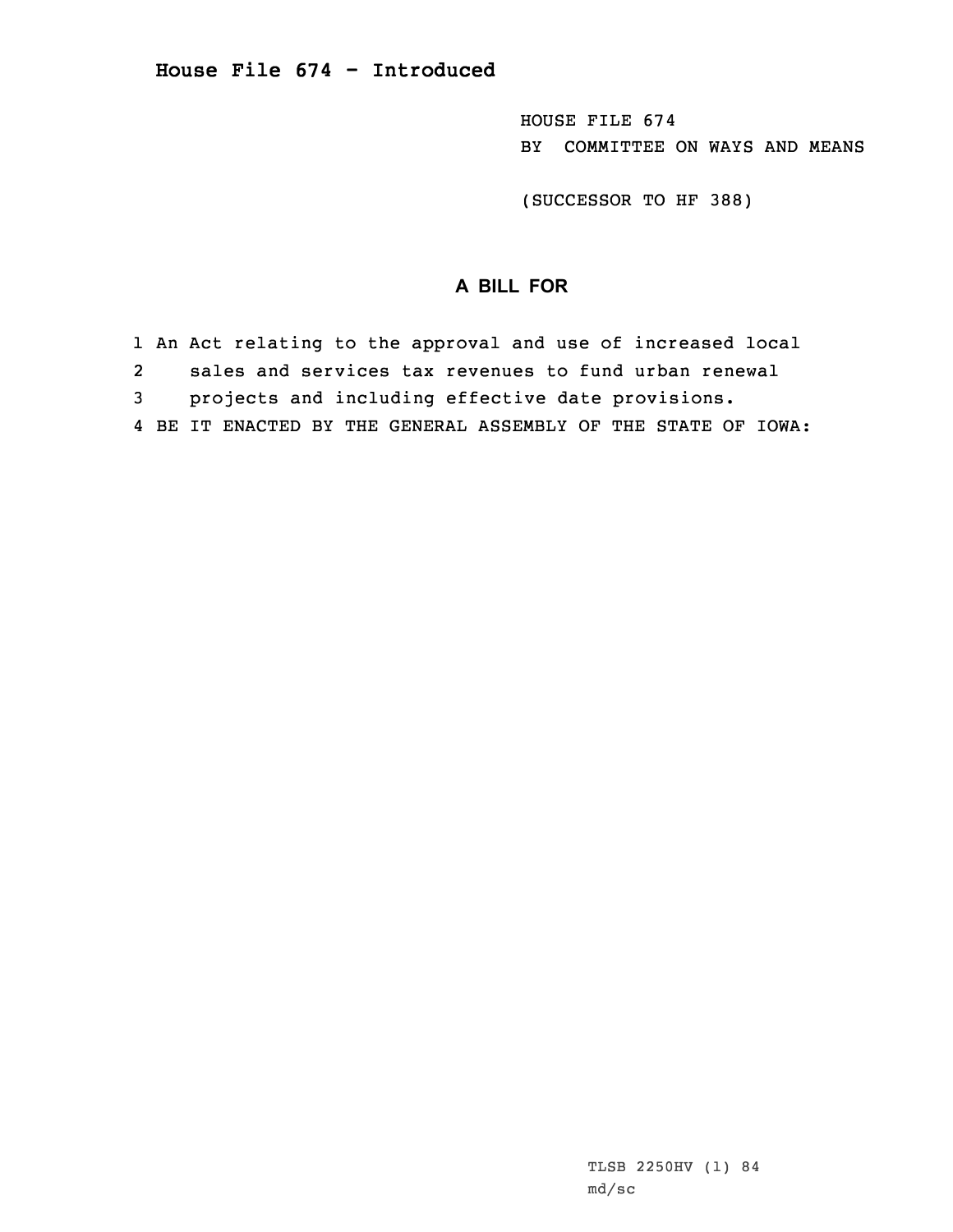HOUSE FILE 674 BY COMMITTEE ON WAYS AND MEANS

(SUCCESSOR TO HF 388)

## **A BILL FOR**

1 An Act relating to the approval and use of increased local 2 sales and services tax revenues to fund urban renewal 3 projects and including effective date provisions. 4 BE IT ENACTED BY THE GENERAL ASSEMBLY OF THE STATE OF IOWA: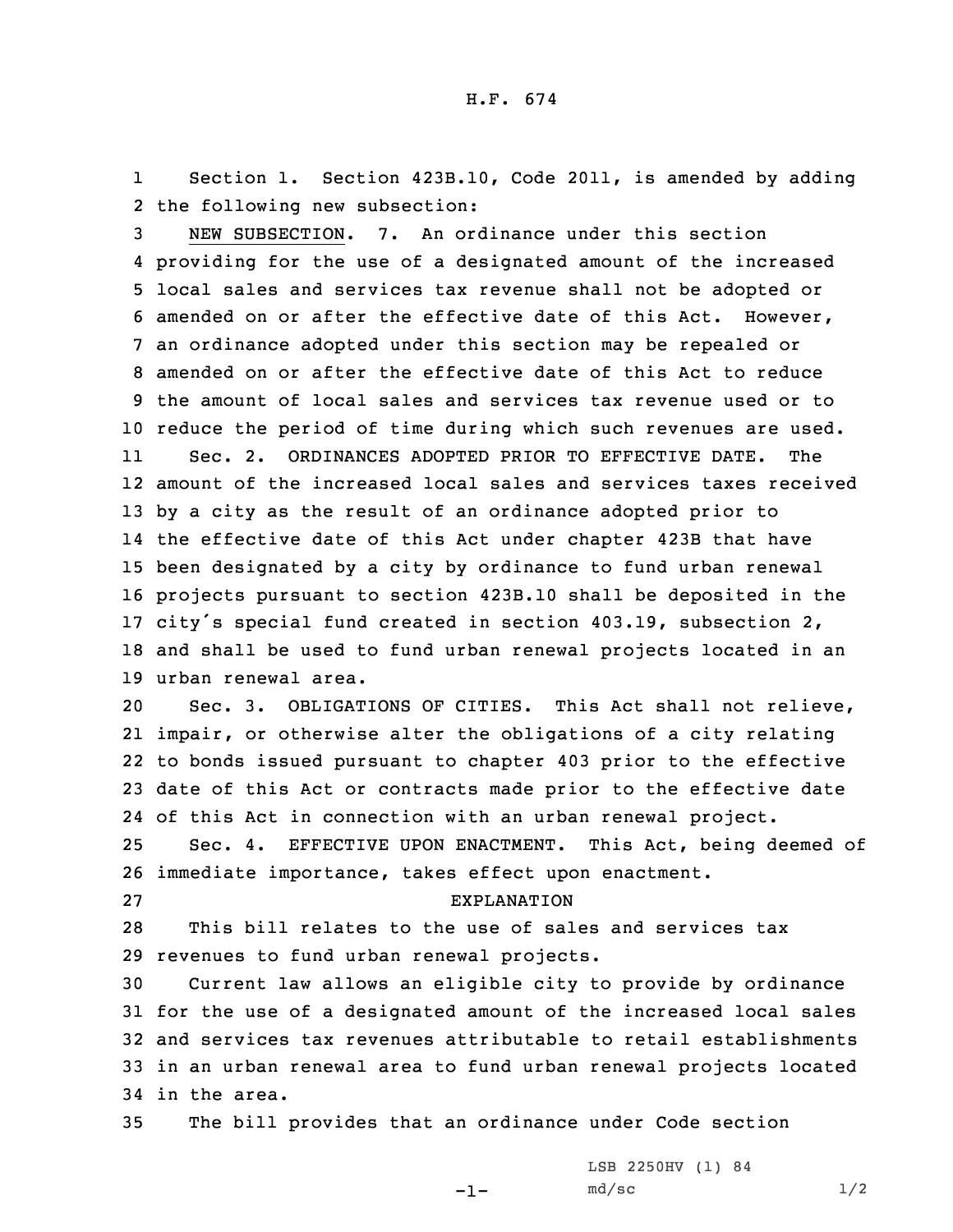1 Section 1. Section 423B.10, Code 2011, is amended by adding 2 the following new subsection:

 NEW SUBSECTION. 7. An ordinance under this section providing for the use of <sup>a</sup> designated amount of the increased local sales and services tax revenue shall not be adopted or amended on or after the effective date of this Act. However, an ordinance adopted under this section may be repealed or amended on or after the effective date of this Act to reduce the amount of local sales and services tax revenue used or to reduce the period of time during which such revenues are used. 11 Sec. 2. ORDINANCES ADOPTED PRIOR TO EFFECTIVE DATE. The amount of the increased local sales and services taxes received by <sup>a</sup> city as the result of an ordinance adopted prior to the effective date of this Act under chapter 423B that have been designated by <sup>a</sup> city by ordinance to fund urban renewal projects pursuant to section 423B.10 shall be deposited in the city's special fund created in section 403.19, subsection 2, and shall be used to fund urban renewal projects located in an urban renewal area.

 Sec. 3. OBLIGATIONS OF CITIES. This Act shall not relieve, impair, or otherwise alter the obligations of <sup>a</sup> city relating to bonds issued pursuant to chapter 403 prior to the effective date of this Act or contracts made prior to the effective date of this Act in connection with an urban renewal project. Sec. 4. EFFECTIVE UPON ENACTMENT. This Act, being deemed of

26 immediate importance, takes effect upon enactment.

## 27 EXPLANATION

28 This bill relates to the use of sales and services tax 29 revenues to fund urban renewal projects.

 Current law allows an eligible city to provide by ordinance for the use of <sup>a</sup> designated amount of the increased local sales and services tax revenues attributable to retail establishments in an urban renewal area to fund urban renewal projects located in the area.

35 The bill provides that an ordinance under Code section

-1-

LSB 2250HV (1) 84  $md/sec$  1/2